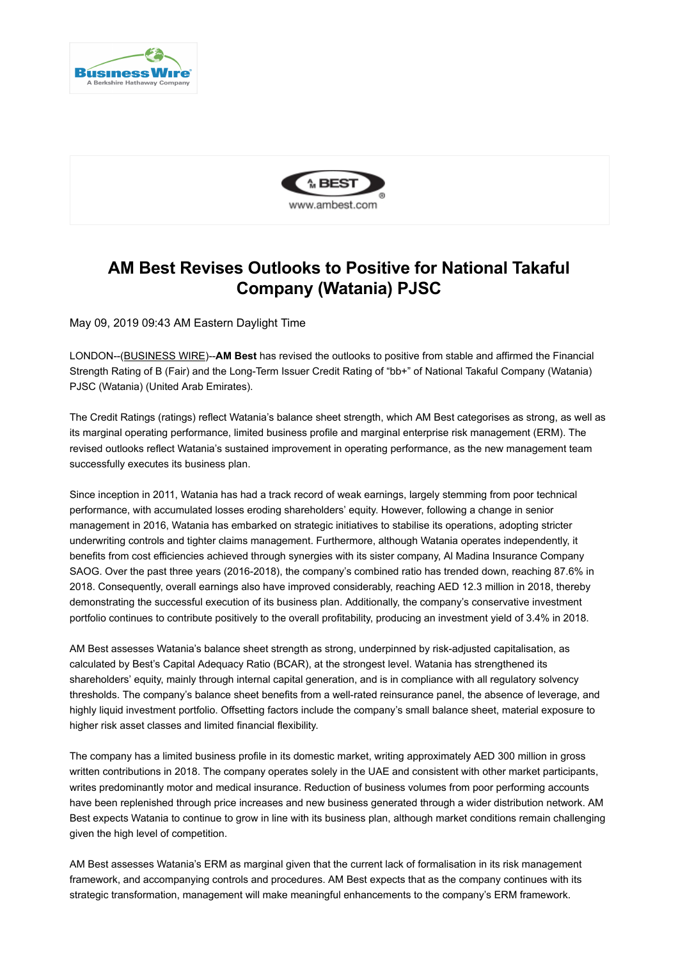



## **AM Best Revises Outlooks to Positive for National Takaful Company (Watania) PJSC**

May 09, 2019 09:43 AM Eastern Daylight Time

LONDON--[\(BUSINESS WIRE](https://www.businesswire.com/))--**AM Best** has revised the outlooks to positive from stable and affirmed the Financial Strength Rating of B (Fair) and the Long-Term Issuer Credit Rating of "bb+" of National Takaful Company (Watania) PJSC (Watania) (United Arab Emirates).

The Credit Ratings (ratings) reflect Watania's balance sheet strength, which AM Best categorises as strong, as well as its marginal operating performance, limited business profile and marginal enterprise risk management (ERM). The revised outlooks reflect Watania's sustained improvement in operating performance, as the new management team successfully executes its business plan.

Since inception in 2011, Watania has had a track record of weak earnings, largely stemming from poor technical performance, with accumulated losses eroding shareholders' equity. However, following a change in senior management in 2016, Watania has embarked on strategic initiatives to stabilise its operations, adopting stricter underwriting controls and tighter claims management. Furthermore, although Watania operates independently, it benefits from cost efficiencies achieved through synergies with its sister company, Al Madina Insurance Company SAOG. Over the past three years (2016-2018), the company's combined ratio has trended down, reaching 87.6% in 2018. Consequently, overall earnings also have improved considerably, reaching AED 12.3 million in 2018, thereby demonstrating the successful execution of its business plan. Additionally, the company's conservative investment portfolio continues to contribute positively to the overall profitability, producing an investment yield of 3.4% in 2018.

AM Best assesses Watania's balance sheet strength as strong, underpinned by risk-adjusted capitalisation, as calculated by Best's Capital Adequacy Ratio (BCAR), at the strongest level. Watania has strengthened its shareholders' equity, mainly through internal capital generation, and is in compliance with all regulatory solvency thresholds. The company's balance sheet benefits from a well-rated reinsurance panel, the absence of leverage, and highly liquid investment portfolio. Offsetting factors include the company's small balance sheet, material exposure to higher risk asset classes and limited financial flexibility.

The company has a limited business profile in its domestic market, writing approximately AED 300 million in gross written contributions in 2018. The company operates solely in the UAE and consistent with other market participants, writes predominantly motor and medical insurance. Reduction of business volumes from poor performing accounts have been replenished through price increases and new business generated through a wider distribution network. AM Best expects Watania to continue to grow in line with its business plan, although market conditions remain challenging given the high level of competition.

AM Best assesses Watania's ERM as marginal given that the current lack of formalisation in its risk management framework, and accompanying controls and procedures. AM Best expects that as the company continues with its strategic transformation, management will make meaningful enhancements to the company's ERM framework.